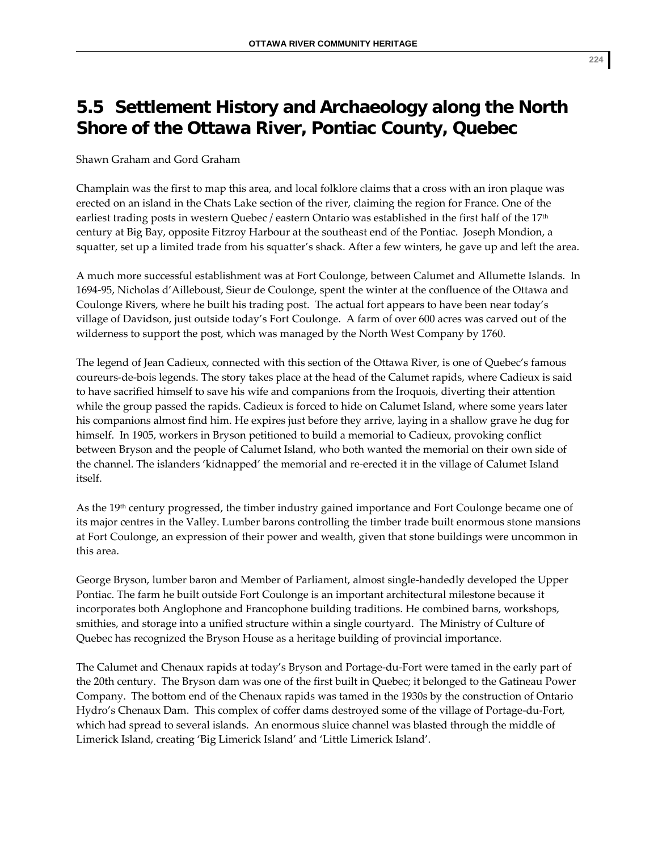## **5.5 Settlement History and Archaeology along the North Shore of the Ottawa River, Pontiac County, Quebec**

Shawn Graham and Gord Graham

Champlain was the first to map this area, and local folklore claims that a cross with an iron plaque was erected on an island in the Chats Lake section of the river, claiming the region for France. One of the earliest trading posts in western Quebec / eastern Ontario was established in the first half of the 17<sup>th</sup> century at Big Bay, opposite Fitzroy Harbour at the southeast end of the Pontiac. Joseph Mondion, a squatter, set up a limited trade from his squatter's shack. After a few winters, he gave up and left the area.

A much more successful establishment was at Fort Coulonge, between Calumet and Allumette Islands. In 1694‐95, Nicholas d'Ailleboust, Sieur de Coulonge, spent the winter at the confluence of the Ottawa and Coulonge Rivers, where he built his trading post. The actual fort appears to have been near today's village of Davidson, just outside today's Fort Coulonge. A farm of over 600 acres was carved out of the wilderness to support the post, which was managed by the North West Company by 1760.

The legend of Jean Cadieux, connected with this section of the Ottawa River, is one of Quebec's famous coureurs‐de‐bois legends. The story takes place at the head of the Calumet rapids, where Cadieux is said to have sacrified himself to save his wife and companions from the Iroquois, diverting their attention while the group passed the rapids. Cadieux is forced to hide on Calumet Island, where some years later his companions almost find him. He expires just before they arrive, laying in a shallow grave he dug for himself. In 1905, workers in Bryson petitioned to build a memorial to Cadieux, provoking conflict between Bryson and the people of Calumet Island, who both wanted the memorial on their own side of the channel. The islanders 'kidnapped' the memorial and re‐erected it in the village of Calumet Island itself.

As the 19th century progressed, the timber industry gained importance and Fort Coulonge became one of its major centres in the Valley. Lumber barons controlling the timber trade built enormous stone mansions at Fort Coulonge, an expression of their power and wealth, given that stone buildings were uncommon in this area.

George Bryson, lumber baron and Member of Parliament, almost single‐handedly developed the Upper Pontiac. The farm he built outside Fort Coulonge is an important architectural milestone because it incorporates both Anglophone and Francophone building traditions. He combined barns, workshops, smithies, and storage into a unified structure within a single courtyard. The Ministry of Culture of Quebec has recognized the Bryson House as a heritage building of provincial importance.

The Calumet and Chenaux rapids at today's Bryson and Portage-du-Fort were tamed in the early part of the 20th century. The Bryson dam was one of the first built in Quebec; it belonged to the Gatineau Power Company. The bottom end of the Chenaux rapids was tamed in the 1930s by the construction of Ontario Hydro's Chenaux Dam. This complex of coffer dams destroyed some of the village of Portage-du-Fort, which had spread to several islands. An enormous sluice channel was blasted through the middle of Limerick Island, creating 'Big Limerick Island' and 'Little Limerick Island'.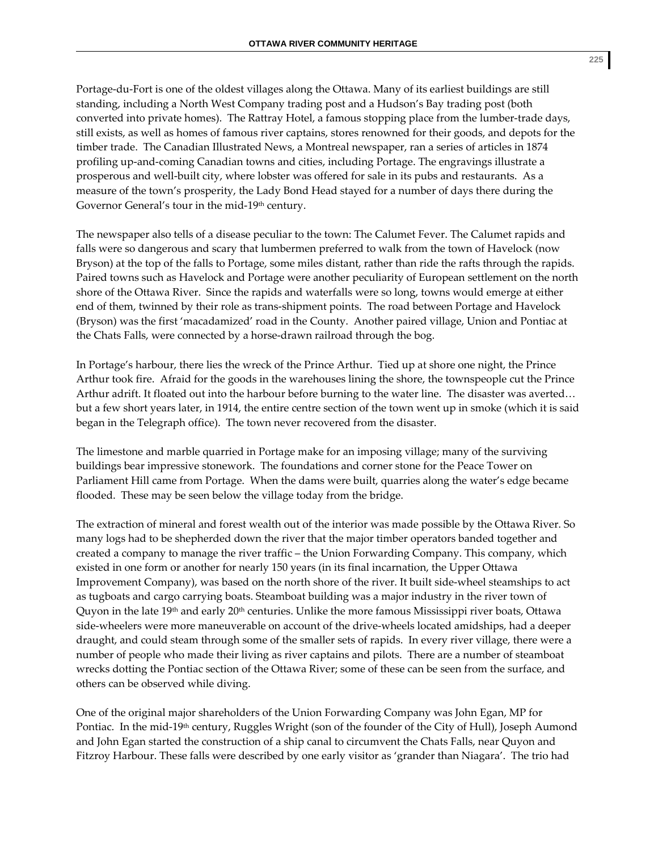Portage‐du‐Fort is one of the oldest villages along the Ottawa. Many of its earliest buildings are still standing, including a North West Company trading post and a Hudson's Bay trading post (both converted into private homes). The Rattray Hotel, a famous stopping place from the lumber-trade days, still exists, as well as homes of famous river captains, stores renowned for their goods, and depots for the timber trade. The Canadian Illustrated News, a Montreal newspaper, ran a series of articles in 1874 profiling up‐and‐coming Canadian towns and cities, including Portage. The engravings illustrate a prosperous and well‐built city, where lobster was offered for sale in its pubs and restaurants. As a measure of the town's prosperity, the Lady Bond Head stayed for a number of days there during the Governor General's tour in the mid-19<sup>th</sup> century.

The newspaper also tells of a disease peculiar to the town: The Calumet Fever. The Calumet rapids and falls were so dangerous and scary that lumbermen preferred to walk from the town of Havelock (now Bryson) at the top of the falls to Portage, some miles distant, rather than ride the rafts through the rapids. Paired towns such as Havelock and Portage were another peculiarity of European settlement on the north shore of the Ottawa River. Since the rapids and waterfalls were so long, towns would emerge at either end of them, twinned by their role as trans‐shipment points. The road between Portage and Havelock (Bryson) was the first 'macadamized' road in the County. Another paired village, Union and Pontiac at the Chats Falls, were connected by a horse‐drawn railroad through the bog.

In Portage's harbour, there lies the wreck of the Prince Arthur. Tied up at shore one night, the Prince Arthur took fire. Afraid for the goods in the warehouses lining the shore, the townspeople cut the Prince Arthur adrift. It floated out into the harbour before burning to the water line. The disaster was averted… but a few short years later, in 1914, the entire centre section of the town went up in smoke (which it is said began in the Telegraph office). The town never recovered from the disaster.

The limestone and marble quarried in Portage make for an imposing village; many of the surviving buildings bear impressive stonework. The foundations and corner stone for the Peace Tower on Parliament Hill came from Portage. When the dams were built, quarries along the water's edge became flooded. These may be seen below the village today from the bridge.

The extraction of mineral and forest wealth out of the interior was made possible by the Ottawa River. So many logs had to be shepherded down the river that the major timber operators banded together and created a company to manage the river traffic – the Union Forwarding Company. This company, which existed in one form or another for nearly 150 years (in its final incarnation, the Upper Ottawa Improvement Company), was based on the north shore of the river. It built side-wheel steamships to act as tugboats and cargo carrying boats. Steamboat building was a major industry in the river town of Quyon in the late  $19<sup>th</sup>$  and early  $20<sup>th</sup>$  centuries. Unlike the more famous Mississippi river boats, Ottawa side‐wheelers were more maneuverable on account of the drive‐wheels located amidships, had a deeper draught, and could steam through some of the smaller sets of rapids. In every river village, there were a number of people who made their living as river captains and pilots. There are a number of steamboat wrecks dotting the Pontiac section of the Ottawa River; some of these can be seen from the surface, and others can be observed while diving.

One of the original major shareholders of the Union Forwarding Company was John Egan, MP for Pontiac. In the mid-19<sup>th</sup> century, Ruggles Wright (son of the founder of the City of Hull), Joseph Aumond and John Egan started the construction of a ship canal to circumvent the Chats Falls, near Quyon and Fitzroy Harbour. These falls were described by one early visitor as 'grander than Niagara'. The trio had